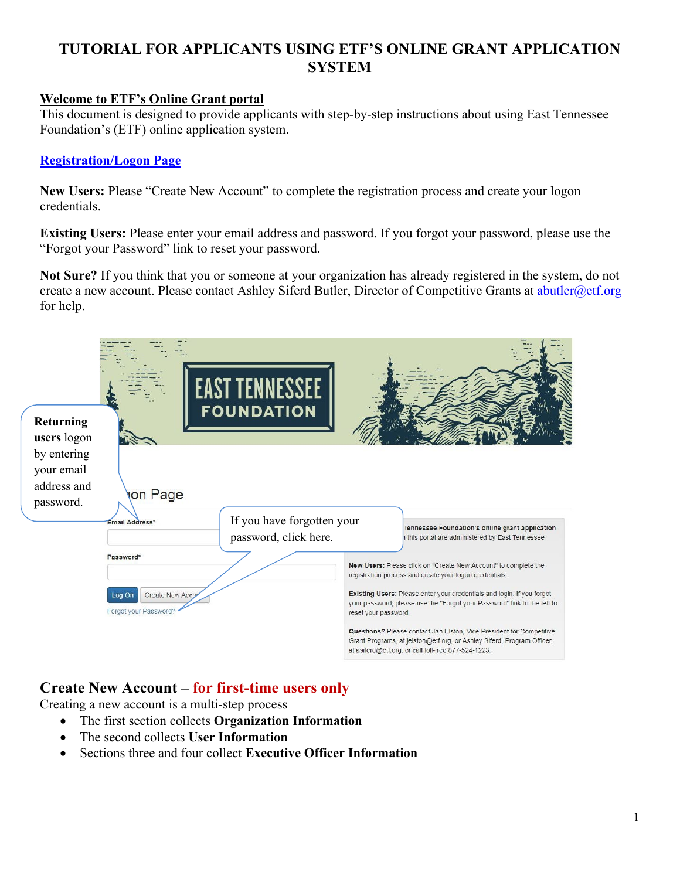# **TUTORIAL FOR APPLICANTS USING ETF'S ONLINE GRANT APPLICATION SYSTEM**

## **Welcome to ETF's Online Grant portal**

This document is designed to provide applicants with step-by-step instructions about using East Tennessee Foundation's (ETF) online application system.

#### **[Registration/Logon Page](https://www.grantinterface.com/Home/Logon?urlkey=easttennesseefoundation)**

**New Users:** Please "Create New Account" to complete the registration process and create your logon credentials.

**Existing Users:** Please enter your email address and password. If you forgot your password, please use the "Forgot your Password" link to reset your password.

**Not Sure?** If you think that you or someone at your organization has already registered in the system, do not create a new account. Please contact Ashley Siferd Butler, Director of Competitive Grants at [abutler@etf.org](mailto:abutler@etf.org) for help.



# **Create New Account – for first-time users only**

Creating a new account is a multi-step process

- The first section collects **Organization Information**
- The second collects **User Information**
- Sections three and four collect **Executive Officer Information**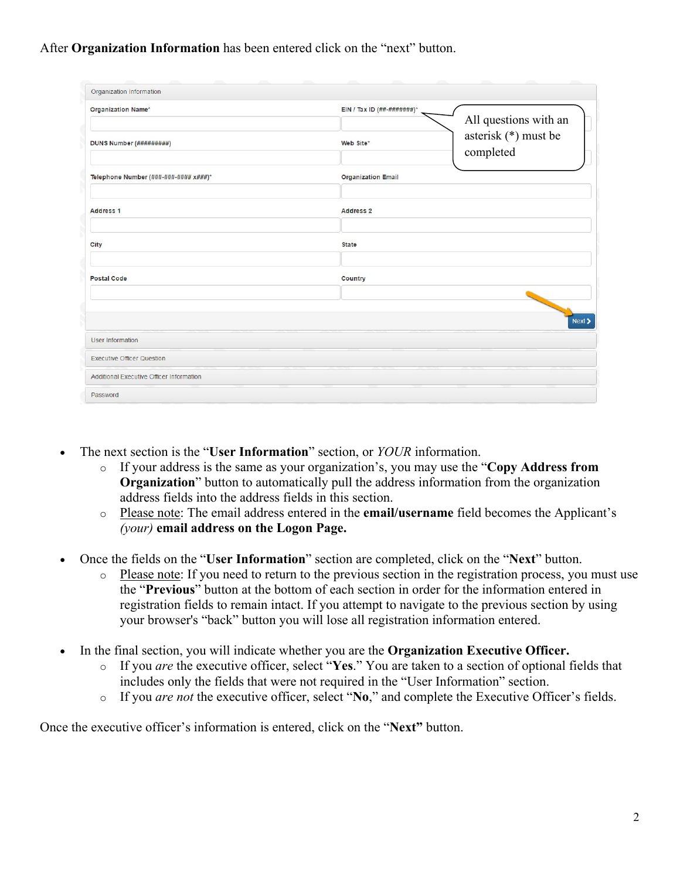# After **Organization Information** has been entered click on the "next" button.

| Organization Information                 |                                                                                     |
|------------------------------------------|-------------------------------------------------------------------------------------|
| Organization Name*                       | EIN / Tax ID $(\# \# - \# \# \# \# \# \# \#)$ <sup>*</sup><br>All questions with an |
| DUNS Number (#########)                  | asterisk (*) must be<br>Web Site*<br>completed                                      |
| Telephone Number (###-###-#### x###)*    | <b>Organization Email</b>                                                           |
| Address 1                                | <b>Address 2</b>                                                                    |
| City                                     | <b>State</b>                                                                        |
| <b>Postal Code</b>                       | Country                                                                             |
|                                          |                                                                                     |
| User Information                         | Next                                                                                |
| <b>Executive Officer Question</b>        |                                                                                     |
| Additional Executive Officer Information |                                                                                     |
| Password                                 |                                                                                     |

- The next section is the "**User Information**" section, or *YOUR* information.
	- o If your address is the same as your organization's, you may use the "**Copy Address from Organization**" button to automatically pull the address information from the organization address fields into the address fields in this section.
	- o Please note: The email address entered in the **email/username** field becomes the Applicant's *(your)* **email address on the Logon Page.**
- Once the fields on the "**User Information**" section are completed, click on the "**Next**" button.
	- o Please note: If you need to return to the previous section in the registration process, you must use the "**Previous**" button at the bottom of each section in order for the information entered in registration fields to remain intact. If you attempt to navigate to the previous section by using your browser's "back" button you will lose all registration information entered.
- In the final section, you will indicate whether you are the **Organization Executive Officer.**
	- o If you *are* the executive officer, select "**Yes**." You are taken to a section of optional fields that includes only the fields that were not required in the "User Information" section.
	- o If you *are not* the executive officer, select "**No**," and complete the Executive Officer's fields.

Once the executive officer's information is entered, click on the "**Next"** button.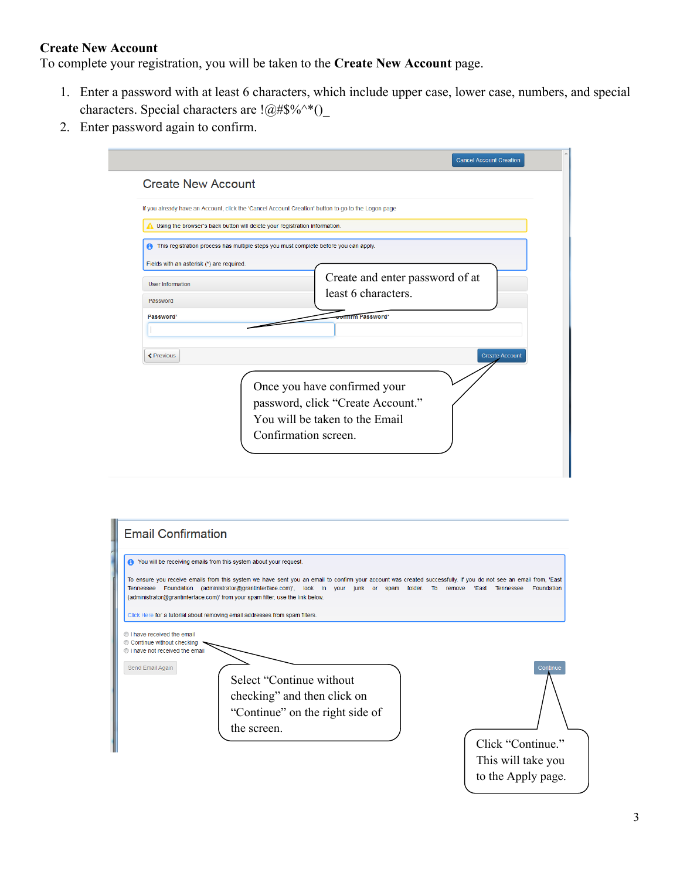#### **Create New Account**

To complete your registration, you will be taken to the **Create New Account** page.

- 1. Enter a password with at least 6 characters, which include upper case, lower case, numbers, and special characters. Special characters are  $!@#\$%^*()$
- 2. Enter password again to confirm.

| <b>Create New Account</b>                 |                                                                                                                             |
|-------------------------------------------|-----------------------------------------------------------------------------------------------------------------------------|
|                                           | If you already have an Account, click the 'Cancel Account Creation' button to go to the Logon page                          |
|                                           | Using the browser's back button will delete your registration information.                                                  |
|                                           | This registration process has multiple steps you must complete before you can apply.                                        |
| Fields with an asterisk (*) are required. |                                                                                                                             |
| <b>User Information</b>                   | Create and enter password of at                                                                                             |
| Password                                  | least 6 characters.                                                                                                         |
| Password*                                 | <b>mirm Password*</b>                                                                                                       |
|                                           |                                                                                                                             |
|                                           |                                                                                                                             |
| <b>≮</b> Previous                         | <b>Create Account</b>                                                                                                       |
|                                           | Once you have confirmed your<br>password, click "Create Account."<br>You will be taken to the Email<br>Confirmation screen. |

| <b>Email Confirmation</b>                                                                                   |                                                                                                                                                                                                                                                                                                                                                                                                                                                            |                                                                           |
|-------------------------------------------------------------------------------------------------------------|------------------------------------------------------------------------------------------------------------------------------------------------------------------------------------------------------------------------------------------------------------------------------------------------------------------------------------------------------------------------------------------------------------------------------------------------------------|---------------------------------------------------------------------------|
| • You will be receiving emails from this system about your request.                                         | To ensure you receive emails from this system we have sent you an email to confirm your account was created successfully. If you do not see an email from, 'East<br>Tennessee Foundation (administrator@grantinterface.com)', look in your junk or spam folder. To remove 'East Tennessee<br>(administrator@grantinterface.com)' from your spam filter, use the link below.<br>Click Here for a tutorial about removing email addresses from spam filters. | Foundation                                                                |
| lave received the email<br>© Continue without checking<br>I have not received the email<br>Send Email Again | Select "Continue without<br>checking" and then click on<br>"Continue" on the right side of<br>the screen.                                                                                                                                                                                                                                                                                                                                                  | Continue<br>Click "Continue."<br>This will take you<br>to the Apply page. |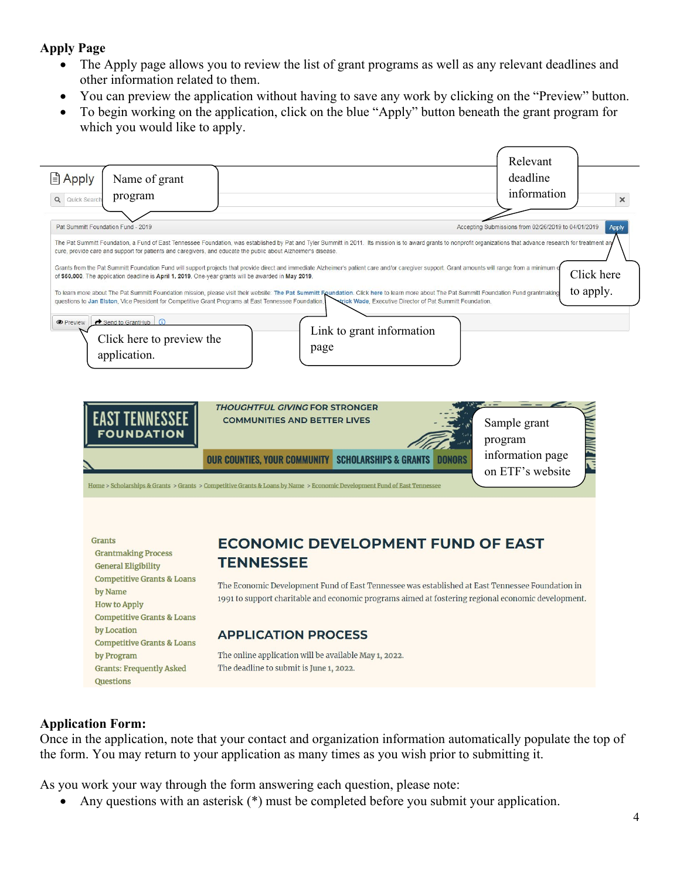## **Apply Page**

- The Apply page allows you to review the list of grant programs as well as any relevant deadlines and other information related to them.
- You can preview the application without having to save any work by clicking on the "Preview" button.
- To begin working on the application, click on the blue "Apply" button beneath the grant program for which you would like to apply.



## **Application Form:**

Once in the application, note that your contact and organization information automatically populate the top of the form. You may return to your application as many times as you wish prior to submitting it.

As you work your way through the form answering each question, please note:

• Any questions with an asterisk (\*) must be completed before you submit your application.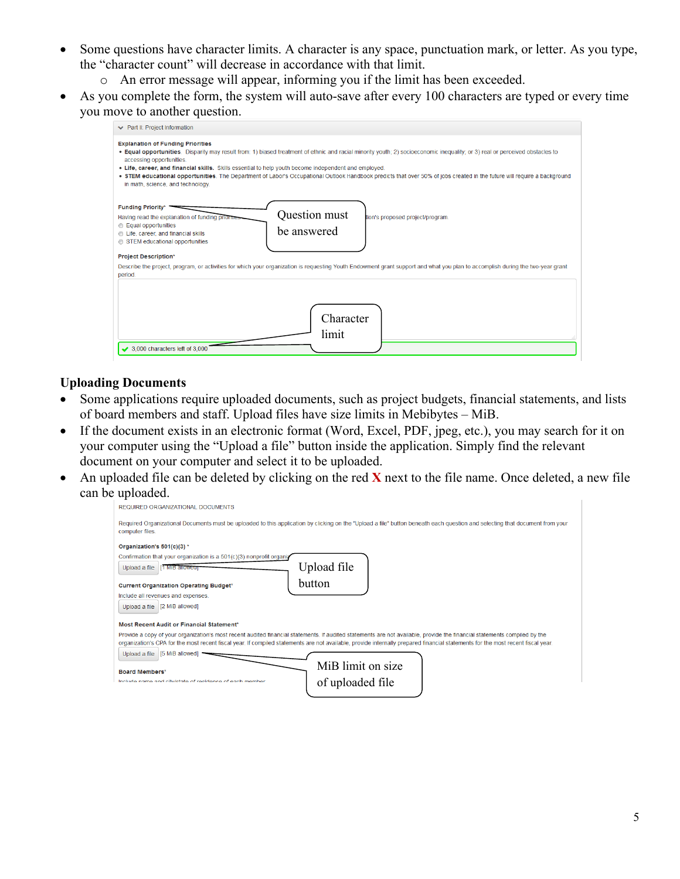- Some questions have character limits. A character is any space, punctuation mark, or letter. As you type, the "character count" will decrease in accordance with that limit.
	- o An error message will appear, informing you if the limit has been exceeded.
- As you complete the form, the system will auto-save after every 100 characters are typed or every time you move to another question.

| ← Part II: Project Information                                                                                                                                                                                     |                                                                                                                                                                                                                                                                                                                                                          |
|--------------------------------------------------------------------------------------------------------------------------------------------------------------------------------------------------------------------|----------------------------------------------------------------------------------------------------------------------------------------------------------------------------------------------------------------------------------------------------------------------------------------------------------------------------------------------------------|
| <b>Explanation of Funding Priorities</b><br>accessing opportunities.<br>. Life, career, and financial skills. Skills essential to help youth become independent and employed.<br>in math, science, and technology. | . Equal opportunities. Disparity may result from: 1) biased treatment of ethnic and racial minority youth; 2) socioeconomic inequality; or 3) real or perceived obstacles to<br>. STEM educational opportunities. The Department of Labor's Occupational Outlook Handbook predicts that over 50% of jobs created in the future will require a background |
| Funding Priority*<br>Having read the explanation of funding priorms<br><b>Equal opportunities</b><br>Life, career, and financial skills<br>STEM educational opportunities<br><b>Project Description*</b>           | Question must<br>tion's proposed project/program.<br>be answered                                                                                                                                                                                                                                                                                         |
| period.<br>$\rightarrow$ 3.000 characters left of 3.000                                                                                                                                                            | Describe the project, program, or activities for which your organization is requesting Youth Endowment grant support and what you plan to accomplish during the two-year grant<br>Character<br>limit                                                                                                                                                     |

#### **Uploading Documents**

- Some applications require uploaded documents, such as project budgets, financial statements, and lists of board members and staff. Upload files have size limits in Mebibytes – MiB.
- If the document exists in an electronic format (Word, Excel, PDF, jpeg, etc.), you may search for it on your computer using the "Upload a file" button inside the application. Simply find the relevant document on your computer and select it to be uploaded.
- An uploaded file can be deleted by clicking on the red **X** next to the file name. Once deleted, a new file can be uploaded.

| REQUIRED ORGANIZATIONAL DOCUMENTS                                                                                                                                                               |
|-------------------------------------------------------------------------------------------------------------------------------------------------------------------------------------------------|
| Required Organizational Documents must be uploaded to this application by clicking on the "Upload a file" button beneath each question and selecting that document from your<br>computer files. |
| Organization's 501(c)(3) *                                                                                                                                                                      |
| Confirmation that your organization is a 501(c)(3) nonprofit organiz                                                                                                                            |
| Upload file<br>Upload a file<br>11 MiB allowed                                                                                                                                                  |
| button<br><b>Current Organization Operating Budget*</b>                                                                                                                                         |
| Include all revenues and expenses.                                                                                                                                                              |
| Upload a file   [2 MiB allowed]                                                                                                                                                                 |
| Most Recent Audit or Financial Statement*                                                                                                                                                       |
| Provide a copy of your organization's most recent audited financial statements. If audited statements are not available, provide the financial statements compiled by the                       |
| organization's CPA for the most recent fiscal year. If compiled statements are not available, provide internally prepared financial statements for the most recent fiscal year.                 |
| [5 MiB allowed]<br>Upload a file                                                                                                                                                                |
| MiB limit on size<br><b>Board Members*</b>                                                                                                                                                      |
| laclude name and cityletate of residence of each member                                                                                                                                         |
| of uploaded file                                                                                                                                                                                |
|                                                                                                                                                                                                 |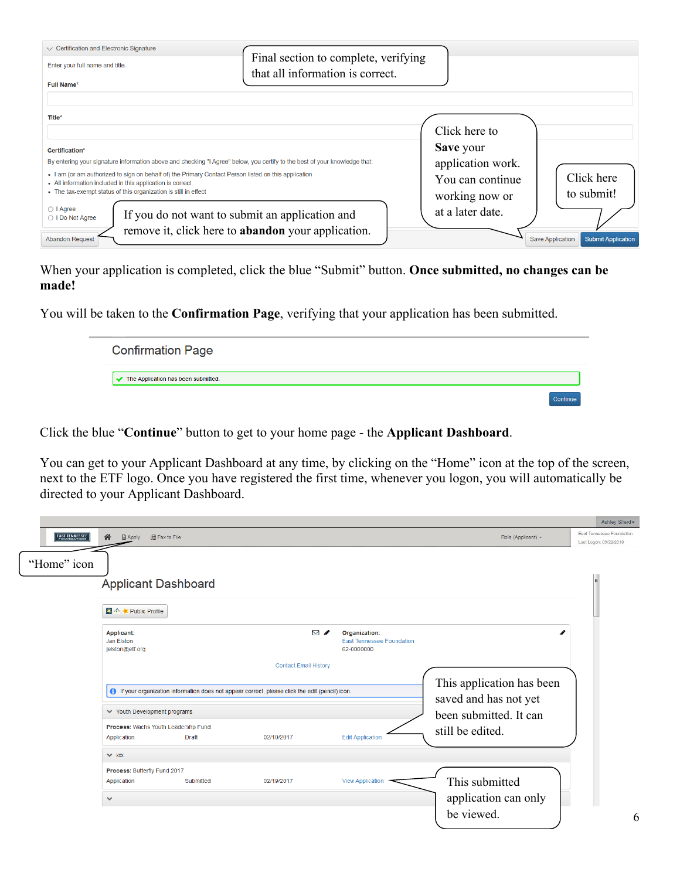| $\vee$ Certification and Electronic Signature<br>Enter your full name and title.<br>Full Name*                                                                                                                                                                                                                                                                                                                       | Final section to complete, verifying<br>that all information is correct.                              |                                                                                       |                                                      |
|----------------------------------------------------------------------------------------------------------------------------------------------------------------------------------------------------------------------------------------------------------------------------------------------------------------------------------------------------------------------------------------------------------------------|-------------------------------------------------------------------------------------------------------|---------------------------------------------------------------------------------------|------------------------------------------------------|
| Title*<br>Certification*<br>By entering your signature information above and checking "I Agree" below, you certify to the best of your knowledge that:<br>. I am (or am authorized to sign on behalf of) the Primary Contact Person listed on this application<br>• All information included in this application is correct<br>• The tax-exempt status of this organization is still in effect<br>$\bigcirc$   Agree |                                                                                                       | Click here to<br>Save your<br>application work.<br>You can continue<br>working now or | Click here<br>to submit!                             |
| ◯ I Do Not Agree<br><b>Abandon Request</b>                                                                                                                                                                                                                                                                                                                                                                           | If you do not want to submit an application and<br>remove it, click here to abandon your application. | at a later date.                                                                      | <b>Save Application</b><br><b>Submit Application</b> |

When your application is completed, click the blue "Submit" button. **Once submitted, no changes can be made!** 

You will be taken to the **Confirmation Page**, verifying that your application has been submitted.

| <b>Confirmation Page</b>            |  |
|-------------------------------------|--|
| The Application has been submitted. |  |
|                                     |  |

Click the blue "**Continue**" button to get to your home page - the **Applicant Dashboard**.

You can get to your Applicant Dashboard at any time, by clicking on the "Home" icon at the top of the screen, next to the ETF logo. Once you have registered the first time, whenever you logon, you will automatically be directed to your Applicant Dashboard.

|                                                                                                         |                                                                    |                              |                                                                 |                                                    | Ashley Siferd                                       |
|---------------------------------------------------------------------------------------------------------|--------------------------------------------------------------------|------------------------------|-----------------------------------------------------------------|----------------------------------------------------|-----------------------------------------------------|
| EAST TENNESSEE                                                                                          | 谷<br><b>Apply</b><br><b>In Fax to File</b>                         |                              |                                                                 | Role (Applicant) -                                 | East Tennessee Foundation<br>Last Logon: 03/22/2019 |
| "Home" icon                                                                                             |                                                                    |                              |                                                                 |                                                    |                                                     |
|                                                                                                         | <b>Applicant Dashboard</b>                                         |                              |                                                                 |                                                    |                                                     |
|                                                                                                         | ■ ◆ ★ Public Profile                                               |                              |                                                                 |                                                    |                                                     |
|                                                                                                         | Applicant:<br>Jan Elston<br>jelston@etf.org                        | $\boxtimes$ $\bullet$        | Organization:<br><b>East Tennessee Foundation</b><br>62-0000000 |                                                    |                                                     |
|                                                                                                         |                                                                    | <b>Contact Email History</b> |                                                                 |                                                    |                                                     |
| <b>f</b> If your organization information does not appear correct, please click the edit (pencil) icon. |                                                                    |                              |                                                                 | This application has been<br>saved and has not yet |                                                     |
|                                                                                                         | ◆ Youth Development programs                                       |                              |                                                                 | been submitted. It can                             |                                                     |
|                                                                                                         | Process: Wachs Youth Leadershp Fund<br>Application<br><b>Draft</b> | 02/19/2017                   | <b>Edit Application</b>                                         | still be edited.                                   |                                                     |
|                                                                                                         | $\vee$ xxx                                                         |                              |                                                                 |                                                    |                                                     |
|                                                                                                         | Process: Butterfly Fund 2017                                       |                              |                                                                 |                                                    |                                                     |
|                                                                                                         | Application<br>Submitted                                           | 02/19/2017                   | <b>View Application</b>                                         | This submitted                                     |                                                     |
|                                                                                                         | $\checkmark$                                                       |                              |                                                                 | application can only                               |                                                     |
|                                                                                                         |                                                                    |                              |                                                                 | be viewed.                                         | 6                                                   |